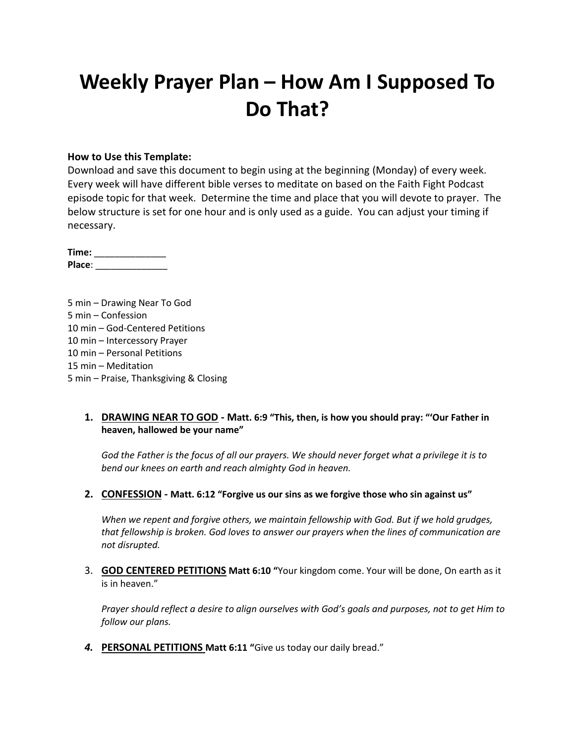# **Weekly Prayer Plan – How Am I Supposed To Do That?**

#### **How to Use this Template:**

Download and save this document to begin using at the beginning (Monday) of every week. Every week will have different bible verses to meditate on based on the Faith Fight Podcast episode topic for that week. Determine the time and place that you will devote to prayer. The below structure is set for one hour and is only used as a guide. You can adjust your timing if necessary.

| Time:  |  |
|--------|--|
| Place: |  |

5 min – Drawing Near To God 5 min – Confession 10 min – God-Centered Petitions 10 min – Intercessory Prayer 10 min – Personal Petitions 15 min – Meditation 5 min – Praise, Thanksgiving & Closing

#### **1. DRAWING NEAR TO GOD - Matt. 6:9 "This, then, is how you should pray: "'Our Father in heaven, hallowed be your name"**

*God the Father is the focus of all our prayers. We should never forget what a privilege it is to bend our knees on earth and reach almighty God in heaven.*

**2. CONFESSION - Matt. 6:12 "Forgive us our sins as we forgive those who sin against us"**

*When we repent and forgive others, we maintain fellowship with God. But if we hold grudges, that fellowship is broken. God loves to answer our prayers when the lines of communication are not disrupted.*

3. **GOD CENTERED PETITIONS Matt 6:10 "**Your kingdom come. Your will be done, On earth as it is in heaven."

*Prayer should reflect a desire to align ourselves with God's goals and purposes, not to get Him to follow our plans.*

*4.* **PERSONAL PETITIONS Matt 6:11 "**Give us today our daily bread."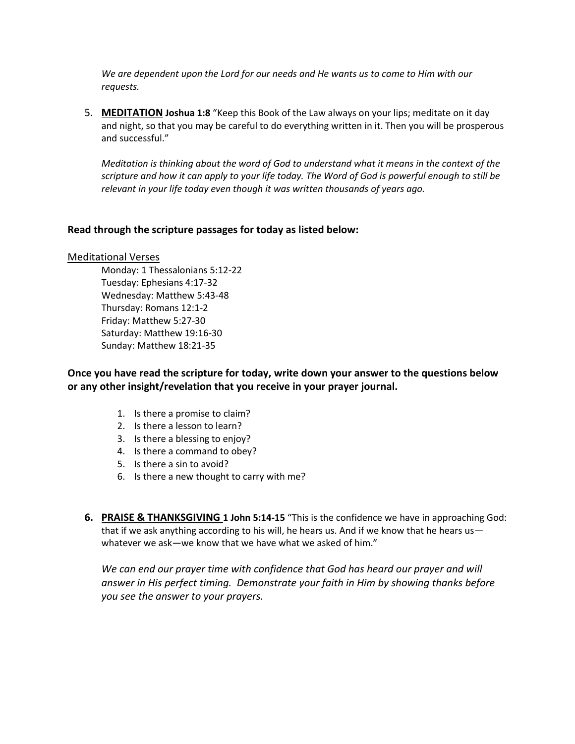*We are dependent upon the Lord for our needs and He wants us to come to Him with our requests.*

5. **MEDITATION Joshua 1:8** "Keep this Book of the Law always on your lips; meditate on it day and night, so that you may be careful to do everything written in it. Then you will be prosperous and successful."

*Meditation is thinking about the word of God to understand what it means in the context of the scripture and how it can apply to your life today. The Word of God is powerful enough to still be relevant in your life today even though it was written thousands of years ago.*

#### **Read through the scripture passages for today as listed below:**

#### Meditational Verses

Monday: 1 Thessalonians 5:12-22 Tuesday: Ephesians 4:17-32 Wednesday: Matthew 5:43-48 Thursday: Romans 12:1-2 Friday: Matthew 5:27-30 Saturday: Matthew 19:16-30 Sunday: Matthew 18:21-35

**Once you have read the scripture for today, write down your answer to the questions below or any other insight/revelation that you receive in your prayer journal.** 

- 1. Is there a promise to claim?
- 2. Is there a lesson to learn?
- 3. Is there a blessing to enjoy?
- 4. Is there a command to obey?
- 5. Is there a sin to avoid?
- 6. Is there a new thought to carry with me?
- **6. PRAISE & THANKSGIVING 1 John 5:14-15** "This is the confidence we have in approaching God: that if we ask anything according to his will, he hears us. And if we know that he hears us whatever we ask—we know that we have what we asked of him."

We can end our prayer time with confidence that God has heard our prayer and will *answer in His perfect timing. Demonstrate your faith in Him by showing thanks before you see the answer to your prayers.*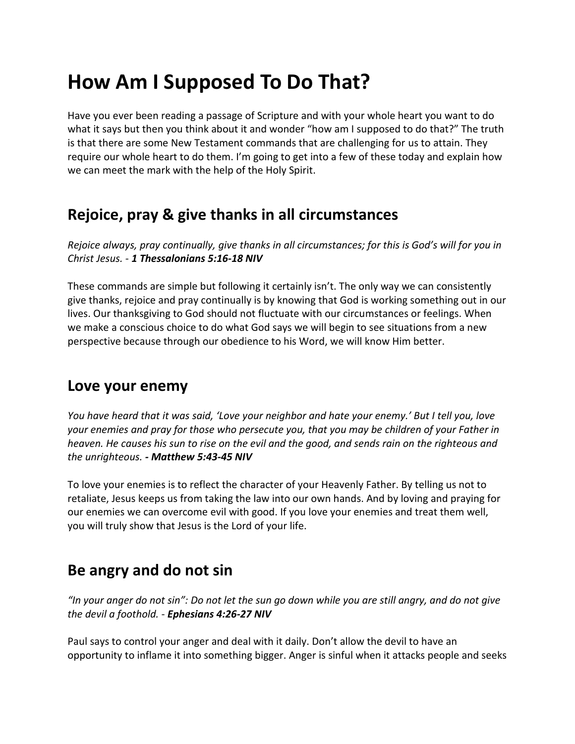## **How Am I Supposed To Do That?**

Have you ever been reading a passage of Scripture and with your whole heart you want to do what it says but then you think about it and wonder "how am I supposed to do that?" The truth is that there are some New Testament commands that are challenging for us to attain. They require our whole heart to do them. I'm going to get into a few of these today and explain how we can meet the mark with the help of the Holy Spirit.

#### **Rejoice, pray & give thanks in all circumstances**

*Rejoice always, pray continually, give thanks in all circumstances; for this is God's will for you in Christ Jesus. - 1 Thessalonians 5:16-18 NIV*

These commands are simple but following it certainly isn't. The only way we can consistently give thanks, rejoice and pray continually is by knowing that God is working something out in our lives. Our thanksgiving to God should not fluctuate with our circumstances or feelings. When we make a conscious choice to do what God says we will begin to see situations from a new perspective because through our obedience to his Word, we will know Him better.

#### **Love your enemy**

*You have heard that it was said, 'Love your neighbor and hate your enemy.' But I tell you, love your enemies and pray for those who persecute you, that you may be children of your Father in heaven. He causes his sun to rise on the evil and the good, and sends rain on the righteous and the unrighteous. - Matthew 5:43-45 NIV*

To love your enemies is to reflect the character of your Heavenly Father. By telling us not to retaliate, Jesus keeps us from taking the law into our own hands. And by loving and praying for our enemies we can overcome evil with good. If you love your enemies and treat them well, you will truly show that Jesus is the Lord of your life.

### **Be angry and do not sin**

*"In your anger do not sin": Do not let the sun go down while you are still angry, and do not give the devil a foothold. - Ephesians 4:26-27 NIV*

Paul says to control your anger and deal with it daily. Don't allow the devil to have an opportunity to inflame it into something bigger. Anger is sinful when it attacks people and seeks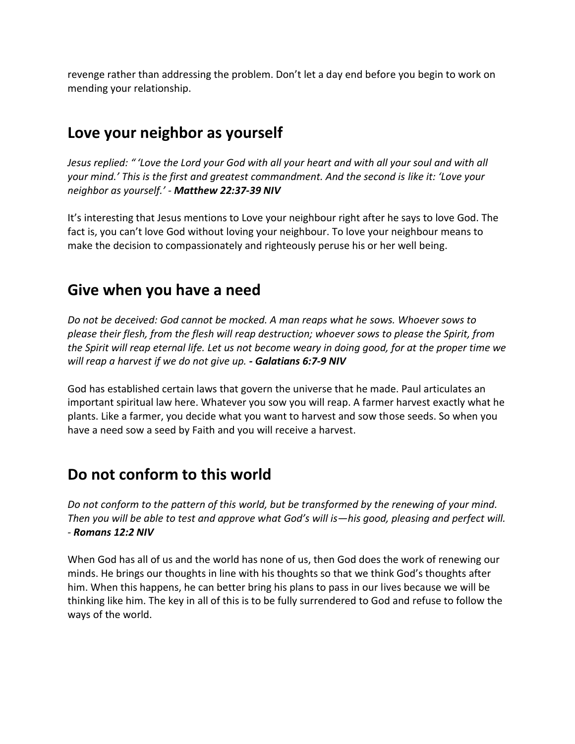revenge rather than addressing the problem. Don't let a day end before you begin to work on mending your relationship.

## **Love your neighbor as yourself**

*Jesus replied: " 'Love the Lord your God with all your heart and with all your soul and with all your mind.' This is the first and greatest commandment. And the second is like it: 'Love your neighbor as yourself.' - Matthew 22:37-39 NIV*

It's interesting that Jesus mentions to Love your neighbour right after he says to love God. The fact is, you can't love God without loving your neighbour. To love your neighbour means to make the decision to compassionately and righteously peruse his or her well being.

### **Give when you have a need**

*Do not be deceived: God cannot be mocked. A man reaps what he sows. Whoever sows to please their flesh, from the flesh will reap destruction; whoever sows to please the Spirit, from the Spirit will reap eternal life. Let us not become weary in doing good, for at the proper time we will reap a harvest if we do not give up. - Galatians 6:7-9 NIV*

God has established certain laws that govern the universe that he made. Paul articulates an important spiritual law here. Whatever you sow you will reap. A farmer harvest exactly what he plants. Like a farmer, you decide what you want to harvest and sow those seeds. So when you have a need sow a seed by Faith and you will receive a harvest.

#### **Do not conform to this world**

*Do not conform to the pattern of this world, but be transformed by the renewing of your mind. Then you will be able to test and approve what God's will is—his good, pleasing and perfect will. - Romans 12:2 NIV*

When God has all of us and the world has none of us, then God does the work of renewing our minds. He brings our thoughts in line with his thoughts so that we think God's thoughts after him. When this happens, he can better bring his plans to pass in our lives because we will be thinking like him. The key in all of this is to be fully surrendered to God and refuse to follow the ways of the world.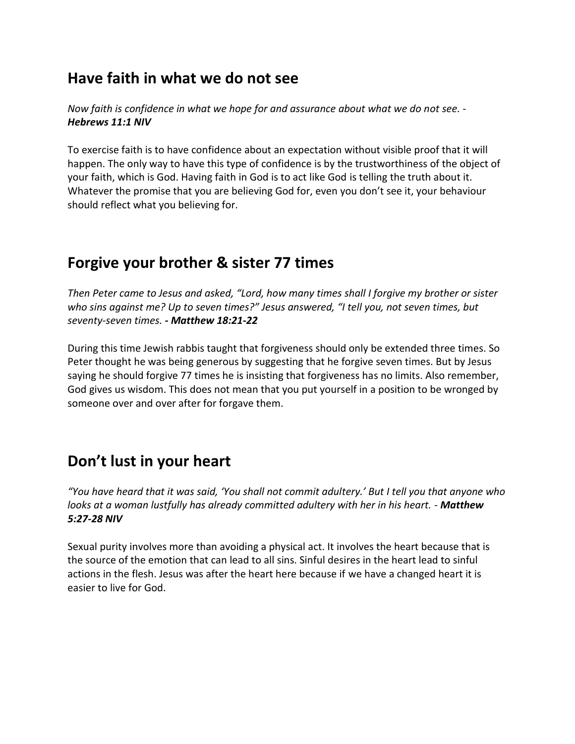#### **Have faith in what we do not see**

*Now faith is confidence in what we hope for and assurance about what we do not see. - Hebrews 11:1 NIV*

To exercise faith is to have confidence about an expectation without visible proof that it will happen. The only way to have this type of confidence is by the trustworthiness of the object of your faith, which is God. Having faith in God is to act like God is telling the truth about it. Whatever the promise that you are believing God for, even you don't see it, your behaviour should reflect what you believing for.

### **Forgive your brother & sister 77 times**

*Then Peter came to Jesus and asked, "Lord, how many times shall I forgive my brother or sister who sins against me? Up to seven times?" Jesus answered, "I tell you, not seven times, but seventy-seven times. - Matthew 18:21-22*

During this time Jewish rabbis taught that forgiveness should only be extended three times. So Peter thought he was being generous by suggesting that he forgive seven times. But by Jesus saying he should forgive 77 times he is insisting that forgiveness has no limits. Also remember, God gives us wisdom. This does not mean that you put yourself in a position to be wronged by someone over and over after for forgave them.

## **Don't lust in your heart**

*"You have heard that it was said, 'You shall not commit adultery.' But I tell you that anyone who looks at a woman lustfully has already committed adultery with her in his heart. - Matthew 5:27-28 NIV*

Sexual purity involves more than avoiding a physical act. It involves the heart because that is the source of the emotion that can lead to all sins. Sinful desires in the heart lead to sinful actions in the flesh. Jesus was after the heart here because if we have a changed heart it is easier to live for God.